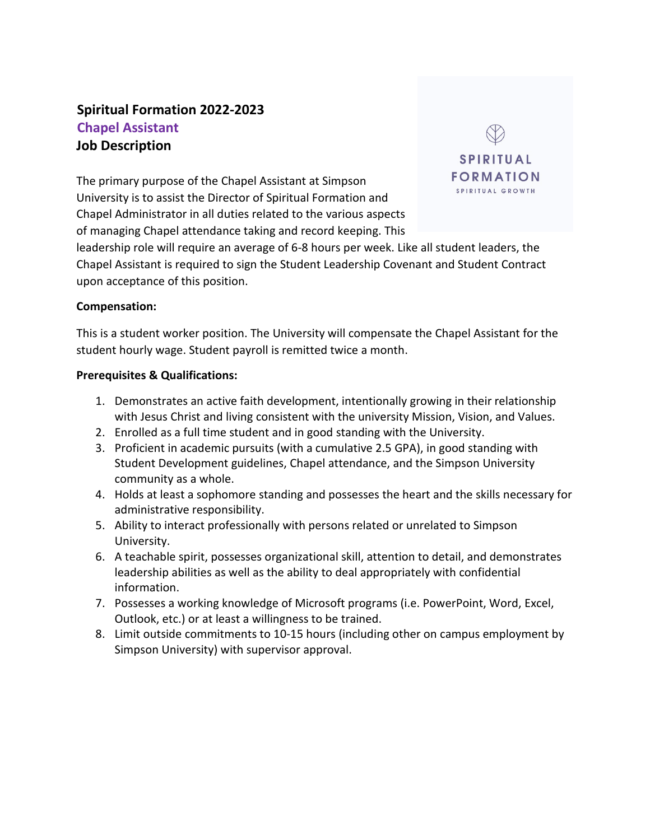# **Spiritual Formation 2022-2023 Chapel Assistant Job Description**

The primary purpose of the Chapel Assistant at Simpson University is to assist the Director of Spiritual Formation and Chapel Administrator in all duties related to the various aspects of managing Chapel attendance taking and record keeping. This



leadership role will require an average of 6-8 hours per week. Like all student leaders, the Chapel Assistant is required to sign the Student Leadership Covenant and Student Contract upon acceptance of this position.

#### **Compensation:**

This is a student worker position. The University will compensate the Chapel Assistant for the student hourly wage. Student payroll is remitted twice a month.

#### **Prerequisites & Qualifications:**

- 1. Demonstrates an active faith development, intentionally growing in their relationship with Jesus Christ and living consistent with the university Mission, Vision, and Values.
- 2. Enrolled as a full time student and in good standing with the University.
- 3. Proficient in academic pursuits (with a cumulative 2.5 GPA), in good standing with Student Development guidelines, Chapel attendance, and the Simpson University community as a whole.
- 4. Holds at least a sophomore standing and possesses the heart and the skills necessary for administrative responsibility.
- 5. Ability to interact professionally with persons related or unrelated to Simpson University.
- 6. A teachable spirit, possesses organizational skill, attention to detail, and demonstrates leadership abilities as well as the ability to deal appropriately with confidential information.
- 7. Possesses a working knowledge of Microsoft programs (i.e. PowerPoint, Word, Excel, Outlook, etc.) or at least a willingness to be trained.
- 8. Limit outside commitments to 10-15 hours (including other on campus employment by Simpson University) with supervisor approval.